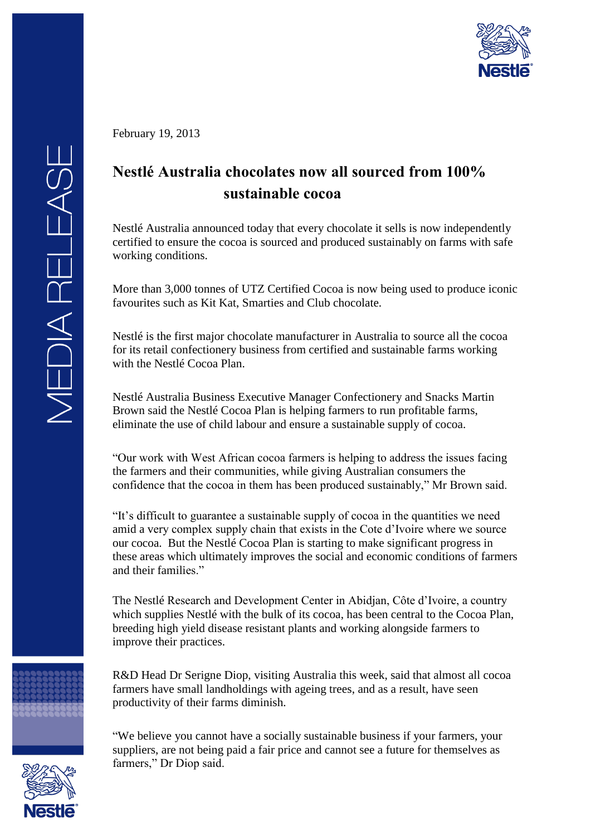

February 19, 2013

## **Nestlé Australia chocolates now all sourced from 100% sustainable cocoa**

Nestlé Australia announced today that every chocolate it sells is now independently certified to ensure the cocoa is sourced and produced sustainably on farms with safe working conditions.

More than 3,000 tonnes of UTZ Certified Cocoa is now being used to produce iconic favourites such as Kit Kat, Smarties and Club chocolate.

Nestlé is the first major chocolate manufacturer in Australia to source all the cocoa for its retail confectionery business from certified and sustainable farms working with the Nestlé Cocoa Plan.

Nestlé Australia Business Executive Manager Confectionery and Snacks Martin Brown said the Nestlé Cocoa Plan is helping farmers to run profitable farms, eliminate the use of child labour and ensure a sustainable supply of cocoa.

"Our work with West African cocoa farmers is helping to address the issues facing the farmers and their communities, while giving Australian consumers the confidence that the cocoa in them has been produced sustainably," Mr Brown said.

"It's difficult to guarantee a sustainable supply of cocoa in the quantities we need amid a very complex supply chain that exists in the Cote d'Ivoire where we source our cocoa. But the Nestlé Cocoa Plan is starting to make significant progress in these areas which ultimately improves the social and economic conditions of farmers and their families."

The Nestlé Research and Development Center in Abidjan, Côte d'Ivoire, a country which supplies Nestlé with the bulk of its cocoa, has been central to the Cocoa Plan, breeding high yield disease resistant plants and working alongside farmers to improve their practices.

R&D Head Dr Serigne Diop, visiting Australia this week, said that almost all cocoa farmers have small landholdings with ageing trees, and as a result, have seen productivity of their farms diminish.

"We believe you cannot have a socially sustainable business if your farmers, your suppliers, are not being paid a fair price and cannot see a future for themselves as farmers," Dr Diop said.



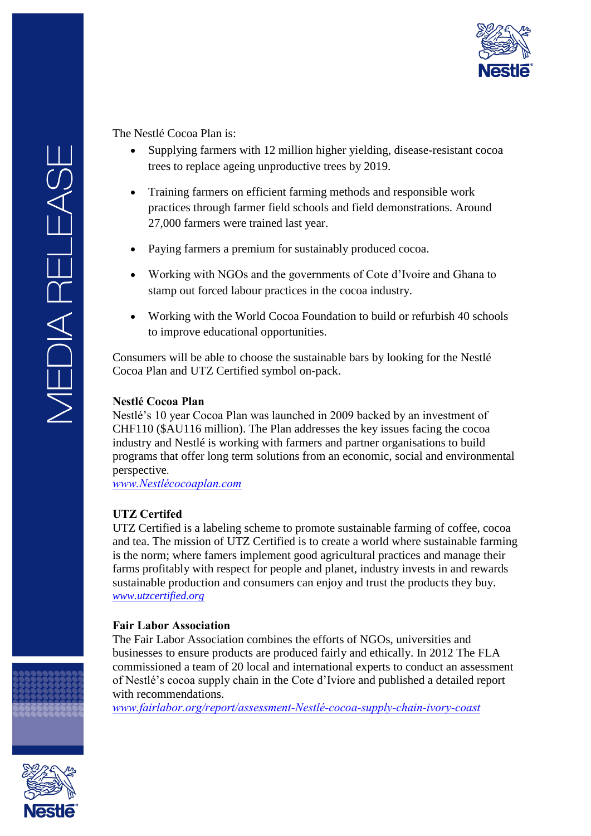

The Nestlé Cocoa Plan is:

- Supplying farmers with 12 million higher yielding, disease-resistant cocoa trees to replace ageing unproductive trees by 2019.
- Training farmers on efficient farming methods and responsible work practices through farmer field schools and field demonstrations. Around 27,000 farmers were trained last year.
- Paying farmers a premium for sustainably produced cocoa.
- Working with NGOs and the governments of Cote d'Ivoire and Ghana to stamp out forced labour practices in the cocoa industry.
- Working with the World Cocoa Foundation to build or refurbish 40 schools to improve educational opportunities.

Consumers will be able to choose the sustainable bars by looking for the Nestlé Cocoa Plan and UTZ Certified symbol on-pack.

## **Nestlé Cocoa Plan**

Nestlé's 10 year Cocoa Plan was launched in 2009 backed by an investment of CHF110 (\$AU116 million). The Plan addresses the key issues facing the cocoa industry and Nestlé is working with farmers and partner organisations to build programs that offer long term solutions from an economic, social and environmental perspective.

*[www.Nestlécocoaplan.com](http://www.nestlecocoaplan.com/)*

## **UTZ Certifed**

UTZ Certified is a labeling scheme to promote sustainable farming of coffee, cocoa and tea. The mission of UTZ Certified is to create a world where sustainable farming is the norm; where famers implement good agricultural practices and manage their farms profitably with respect for people and planet, industry invests in and rewards sustainable production and consumers can enjoy and trust the products they buy. *[www.utzcertified.org](http://www.utzcertified.org/)*

## **Fair Labor Association**

The Fair Labor Association combines the efforts of NGOs, universities and businesses to ensure products are produced fairly and ethically. In 2012 The FLA commissioned a team of 20 local and international experts to conduct an assessment of Nestlé's cocoa supply chain in the Cote d'Iviore and published a detailed report with recommendations.

*[www.fairlabor.org/report/assessment-Nestlé-cocoa-supply-chain-ivory-coast](http://www.fairlabor.org/report/assessment-nestle-cocoa-supply-chain-ivory-coast)*